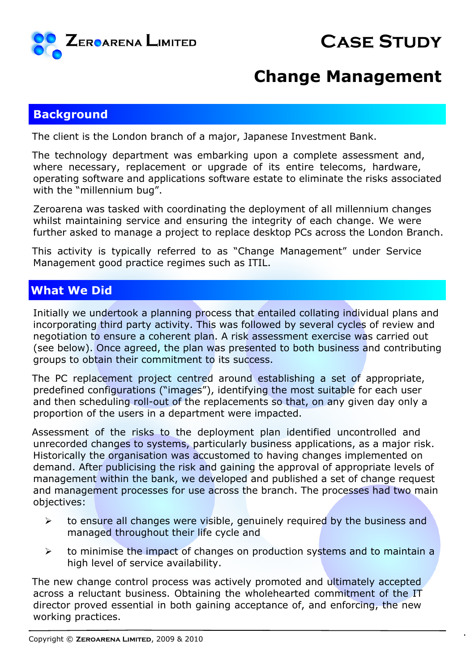

# **Case Study**

### **Change Management**

### **Background**

The client is the London branch of a major, Japanese Investment Bank.

The technology department was embarking upon a complete assessment and, where necessary, replacement or upgrade of its entire telecoms, hardware, operating software and applications software estate to eliminate the risks associated with the "millennium bug".

Zeroarena was tasked with coordinating the deployment of all millennium changes whilst maintaining service and ensuring the integrity of each change. We were further asked to manage a project to replace desktop PCs across the London Branch.

This activity is typically referred to as "Change Management" under Service Management good practice regimes such as ITIL.

### **What We Did**

Initially we undertook a planning process that entailed collating individual plans and incorporating third party activity. This was followed by several cycles of review and negotiation to ensure a coherent plan. A risk assessment exercise was carried out (see below). Once agreed, the plan was presented to both business and contributing groups to obtain their commitment to its success.

The PC replacement project centred around establishing a set of appropriate, predefined configurations ("images"), identifying the most suitable for each user and then scheduling roll-out of the replacements so that, on any given day only a proportion of the users in a department were impacted.

Assessment of the risks to the deployment plan identified uncontrolled and unrecorded changes to systems, particularly business applications, as a major risk. Historically the organisation was accustomed to having changes implemented on demand. After publicising the risk and gaining the approval of appropriate levels of management within the bank, we developed and published a set of change request and management processes for use across the branch. The processes had two main objectives:

- $\geq$  to ensure all changes were visible, genuinely required by the business and managed throughout their life cycle and
- $\geq$  to minimise the impact of changes on production systems and to maintain a high level of service availability.

The new change control process was actively promoted and ultimately accepted across a reluctant business. Obtaining the wholehearted commitment of the IT director proved essential in both gaining acceptance of, and enforcing, the new working practices.